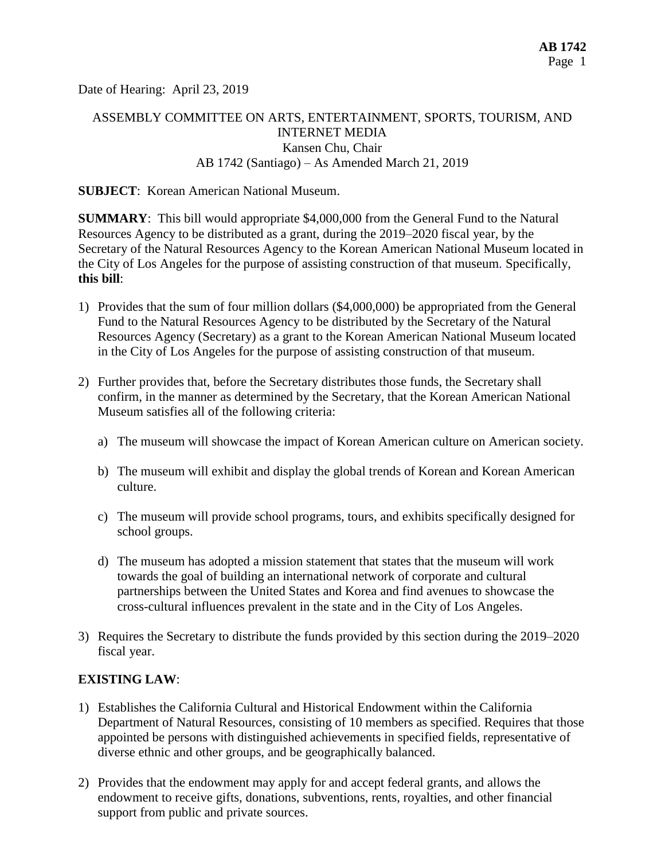Date of Hearing: April 23, 2019

# ASSEMBLY COMMITTEE ON ARTS, ENTERTAINMENT, SPORTS, TOURISM, AND INTERNET MEDIA Kansen Chu, Chair AB 1742 (Santiago) – As Amended March 21, 2019

### **SUBJECT**: Korean American National Museum.

**SUMMARY**: This bill would appropriate \$4,000,000 from the General Fund to the Natural Resources Agency to be distributed as a grant, during the 2019–2020 fiscal year, by the Secretary of the Natural Resources Agency to the Korean American National Museum located in the City of Los Angeles for the purpose of assisting construction of that museum*.* Specifically, **this bill**:

- 1) Provides that the sum of four million dollars (\$4,000,000) be appropriated from the General Fund to the Natural Resources Agency to be distributed by the Secretary of the Natural Resources Agency (Secretary) as a grant to the Korean American National Museum located in the City of Los Angeles for the purpose of assisting construction of that museum.
- 2) Further provides that, before the Secretary distributes those funds, the Secretary shall confirm, in the manner as determined by the Secretary, that the Korean American National Museum satisfies all of the following criteria:
	- a) The museum will showcase the impact of Korean American culture on American society.
	- b) The museum will exhibit and display the global trends of Korean and Korean American culture.
	- c) The museum will provide school programs, tours, and exhibits specifically designed for school groups.
	- d) The museum has adopted a mission statement that states that the museum will work towards the goal of building an international network of corporate and cultural partnerships between the United States and Korea and find avenues to showcase the cross-cultural influences prevalent in the state and in the City of Los Angeles.
- 3) Requires the Secretary to distribute the funds provided by this section during the 2019–2020 fiscal year.

### **EXISTING LAW**:

- 1) Establishes the California Cultural and Historical Endowment within the California Department of Natural Resources, consisting of 10 members as specified. Requires that those appointed be persons with distinguished achievements in specified fields, representative of diverse ethnic and other groups, and be geographically balanced.
- 2) Provides that the endowment may apply for and accept federal grants, and allows the endowment to receive gifts, donations, subventions, rents, royalties, and other financial support from public and private sources.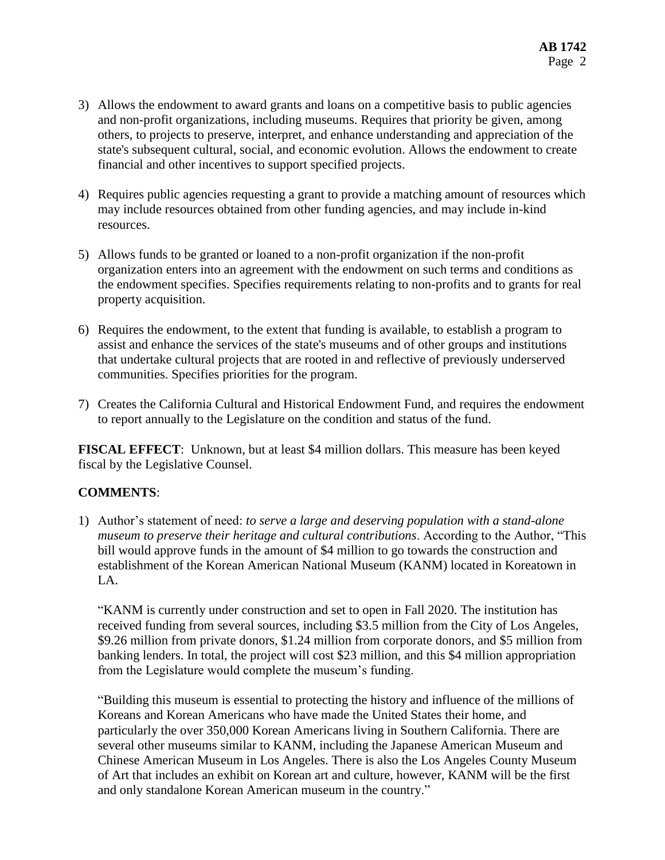- 3) Allows the endowment to award grants and loans on a competitive basis to public agencies and non-profit organizations, including museums. Requires that priority be given, among others, to projects to preserve, interpret, and enhance understanding and appreciation of the state's subsequent cultural, social, and economic evolution. Allows the endowment to create financial and other incentives to support specified projects.
- 4) Requires public agencies requesting a grant to provide a matching amount of resources which may include resources obtained from other funding agencies, and may include in-kind resources.
- 5) Allows funds to be granted or loaned to a non-profit organization if the non-profit organization enters into an agreement with the endowment on such terms and conditions as the endowment specifies. Specifies requirements relating to non-profits and to grants for real property acquisition.
- 6) Requires the endowment, to the extent that funding is available, to establish a program to assist and enhance the services of the state's museums and of other groups and institutions that undertake cultural projects that are rooted in and reflective of previously underserved communities. Specifies priorities for the program.
- 7) Creates the California Cultural and Historical Endowment Fund, and requires the endowment to report annually to the Legislature on the condition and status of the fund.

**FISCAL EFFECT**: Unknown, but at least \$4 million dollars. This measure has been keyed fiscal by the Legislative Counsel.

## **COMMENTS**:

1) Author's statement of need: *to serve a large and deserving population with a stand-alone museum to preserve their heritage and cultural contributions*. According to the Author, "This bill would approve funds in the amount of \$4 million to go towards the construction and establishment of the Korean American National Museum (KANM) located in Koreatown in LA.

"KANM is currently under construction and set to open in Fall 2020. The institution has received funding from several sources, including \$3.5 million from the City of Los Angeles, \$9.26 million from private donors, \$1.24 million from corporate donors, and \$5 million from banking lenders. In total, the project will cost \$23 million, and this \$4 million appropriation from the Legislature would complete the museum's funding.

"Building this museum is essential to protecting the history and influence of the millions of Koreans and Korean Americans who have made the United States their home, and particularly the over 350,000 Korean Americans living in Southern California. There are several other museums similar to KANM, including the Japanese American Museum and Chinese American Museum in Los Angeles. There is also the Los Angeles County Museum of Art that includes an exhibit on Korean art and culture, however, KANM will be the first and only standalone Korean American museum in the country."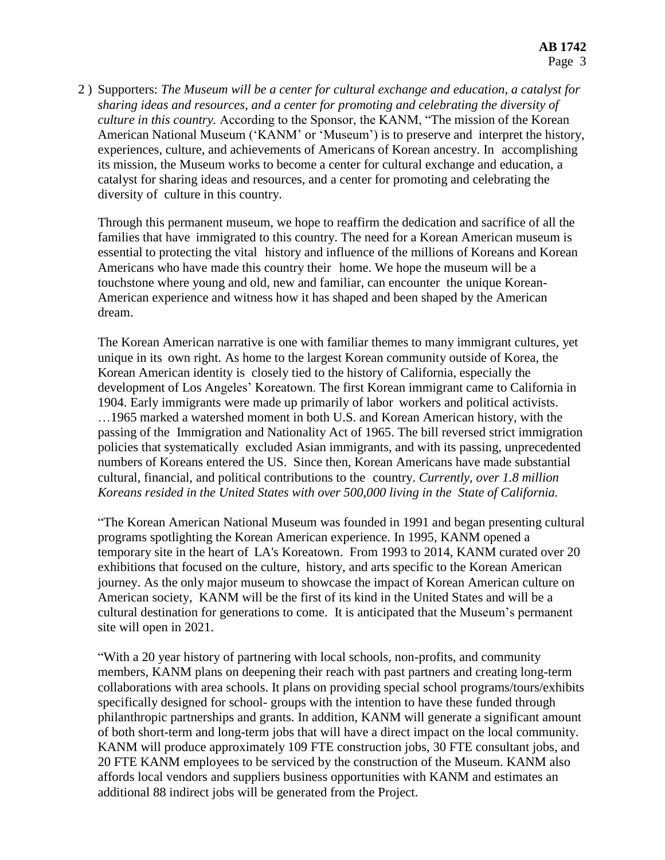2 ) Supporters: *The Museum will be a center for cultural exchange and education, a catalyst for sharing ideas and resources, and a center for promoting and celebrating the diversity of culture in this country.* According to the Sponsor, the KANM, "The mission of the Korean American National Museum ('KANM' or 'Museum') is to preserve and interpret the history, experiences, culture, and achievements of Americans of Korean ancestry. In accomplishing its mission, the Museum works to become a center for cultural exchange and education, a catalyst for sharing ideas and resources, and a center for promoting and celebrating the diversity of culture in this country.

Through this permanent museum, we hope to reaffirm the dedication and sacrifice of all the families that have immigrated to this country. The need for a Korean American museum is essential to protecting the vital history and influence of the millions of Koreans and Korean Americans who have made this country their home. We hope the museum will be a touchstone where young and old, new and familiar, can encounter the unique Korean-American experience and witness how it has shaped and been shaped by the American dream.

The Korean American narrative is one with familiar themes to many immigrant cultures, yet unique in its own right. As home to the largest Korean community outside of Korea, the Korean American identity is closely tied to the history of California, especially the development of Los Angeles' Koreatown. The first Korean immigrant came to California in 1904. Early immigrants were made up primarily of labor workers and political activists. …1965 marked a watershed moment in both U.S. and Korean American history, with the passing of the Immigration and Nationality Act of 1965. The bill reversed strict immigration policies that systematically excluded Asian immigrants, and with its passing, unprecedented numbers of Koreans entered the US. Since then, Korean Americans have made substantial cultural, financial, and political contributions to the country. *Currently, over 1.8 million Koreans resided in the United States with over 500,000 living in the State of California.*

"The Korean American National Museum was founded in 1991 and began presenting cultural programs spotlighting the Korean American experience. In 1995, KANM opened a temporary site in the heart of LA's Koreatown. From 1993 to 2014, KANM curated over 20 exhibitions that focused on the culture, history, and arts specific to the Korean American journey. As the only major museum to showcase the impact of Korean American culture on American society, KANM will be the first of its kind in the United States and will be a cultural destination for generations to come. It is anticipated that the Museum's permanent site will open in 2021.

"With a 20 year history of partnering with local schools, non-profits, and community members, KANM plans on deepening their reach with past partners and creating long-term collaborations with area schools. It plans on providing special school programs/tours/exhibits specifically designed for school- groups with the intention to have these funded through philanthropic partnerships and grants. In addition, KANM will generate a significant amount of both short-term and long-term jobs that will have a direct impact on the local community. KANM will produce approximately 109 FTE construction jobs, 30 FTE consultant jobs, and 20 FTE KANM employees to be serviced by the construction of the Museum. KANM also affords local vendors and suppliers business opportunities with KANM and estimates an additional 88 indirect jobs will be generated from the Project.